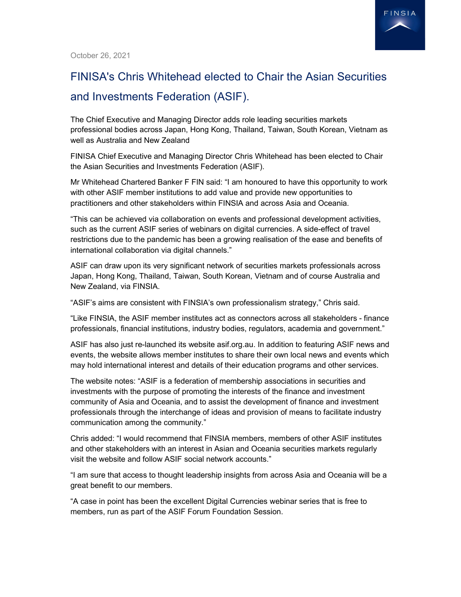

October 26, 2021

## FINISA's Chris Whitehead elected to Chair the Asian Securities and Investments Federation (ASIF).

The Chief Executive and Managing Director adds role leading securities markets professional bodies across Japan, Hong Kong, Thailand, Taiwan, South Korean, Vietnam as well as Australia and New Zealand

FINISA Chief Executive and Managing Director Chris Whitehead has been elected to Chair the Asian Securities and Investments Federation (ASIF).

Mr Whitehead Chartered Banker F FIN said: "I am honoured to have this opportunity to work with other ASIF member institutions to add value and provide new opportunities to practitioners and other stakeholders within FINSIA and across Asia and Oceania.

"This can be achieved via collaboration on events and professional development activities, such as the current ASIF series of webinars on digital currencies. A side-effect of travel restrictions due to the pandemic has been a growing realisation of the ease and benefits of international collaboration via digital channels."

ASIF can draw upon its very significant network of securities markets professionals across Japan, Hong Kong, Thailand, Taiwan, South Korean, Vietnam and of course Australia and New Zealand, via FINSIA.

"ASIF's aims are consistent with FINSIA's own professionalism strategy," Chris said.

"Like FINSIA, the ASIF member institutes act as connectors across all stakeholders - finance professionals, financial institutions, industry bodies, regulators, academia and government."

ASIF has also just re-launched its website asif.org.au. In addition to featuring ASIF news and events, the website allows member institutes to share their own local news and events which may hold international interest and details of their education programs and other services.

The website notes: "ASIF is a federation of membership associations in securities and investments with the purpose of promoting the interests of the finance and investment community of Asia and Oceania, and to assist the development of finance and investment professionals through the interchange of ideas and provision of means to facilitate industry communication among the community."

Chris added: "I would recommend that FINSIA members, members of other ASIF institutes and other stakeholders with an interest in Asian and Oceania securities markets regularly visit the website and follow ASIF social network accounts."

"I am sure that access to thought leadership insights from across Asia and Oceania will be a great benefit to our members.

"A case in point has been the excellent Digital Currencies webinar series that is free to members, run as part of the ASIF Forum Foundation Session.